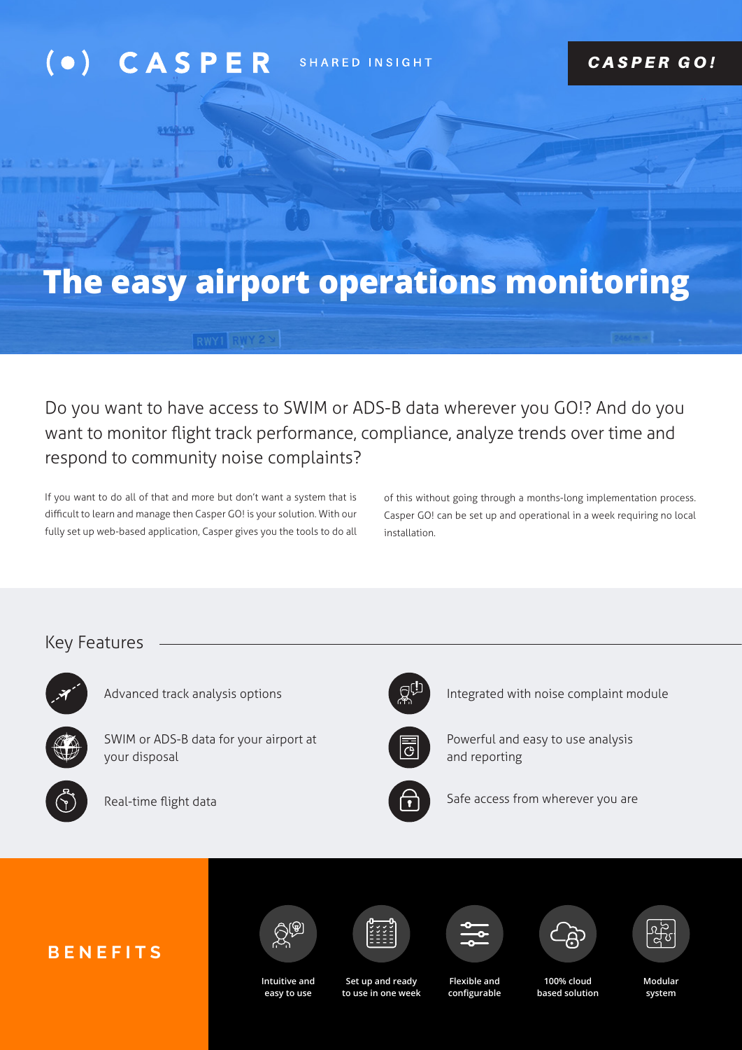### $( \bullet )$ CASP SHARED INSIGHT

**SAGGIN** 

### *CASPER GO!*

# **The easy airport operations monitoring**

Do you want to have access to SWIM or ADS-B data wherever you GO!? And do you want to monitor flight track performance, compliance, analyze trends over time and respond to community noise complaints?

If you want to do all of that and more but don't want a system that is difficult to learn and manage then Casper GO! is your solution. With our fully set up web-based application, Casper gives you the tools to do all of this without going through a months-long implementation process. Casper GO! can be set up and operational in a week requiring no local installation.

### Key Features



Advanced track analysis options



SWIM or ADS-B data for your airport at your disposal



Real-time flight data



Integrated with noise complaint module



Powerful and easy to use analysis and reporting



Safe access from wherever you are













**Intuitive and easy to use** 

**Set up and ready to use in one week** 

**Flexible and configurable** 

**100% cloud based solution**  **Modular system**